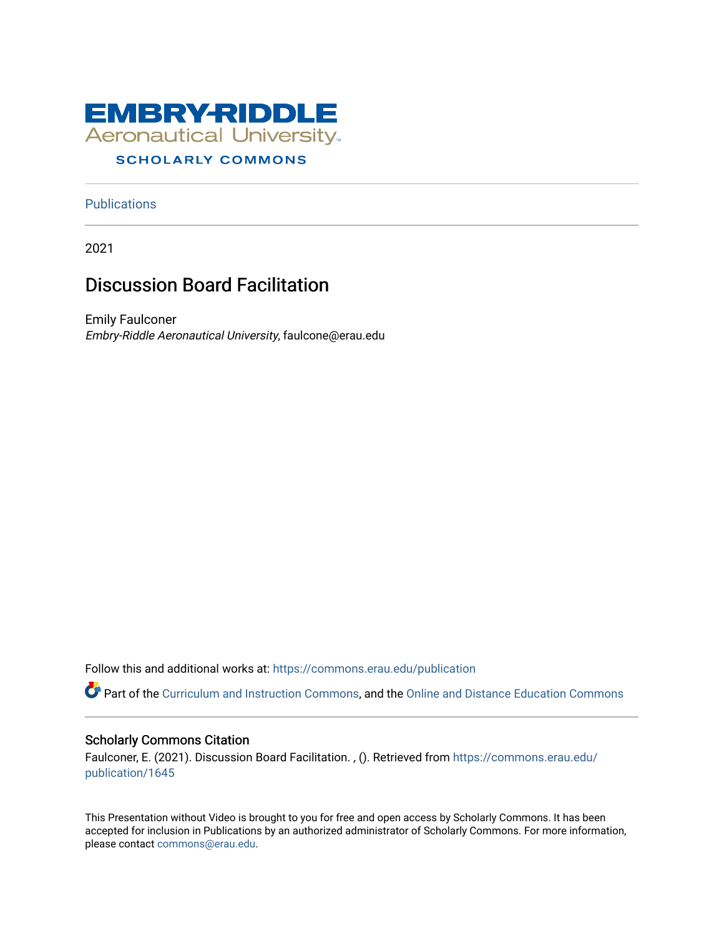

#### **SCHOLARLY COMMONS**

**Publications** 

2021

#### Discussion Board Facilitation

Emily Faulconer Embry-Riddle Aeronautical University, faulcone@erau.edu

Follow this and additional works at: [https://commons.erau.edu/publication](https://commons.erau.edu/publication?utm_source=commons.erau.edu%2Fpublication%2F1645&utm_medium=PDF&utm_campaign=PDFCoverPages) 

Part of the [Curriculum and Instruction Commons,](http://network.bepress.com/hgg/discipline/786?utm_source=commons.erau.edu%2Fpublication%2F1645&utm_medium=PDF&utm_campaign=PDFCoverPages) and the [Online and Distance Education Commons](http://network.bepress.com/hgg/discipline/1296?utm_source=commons.erau.edu%2Fpublication%2F1645&utm_medium=PDF&utm_campaign=PDFCoverPages) 

#### Scholarly Commons Citation

Faulconer, E. (2021). Discussion Board Facilitation. , (). Retrieved from [https://commons.erau.edu/](https://commons.erau.edu/publication/1645?utm_source=commons.erau.edu%2Fpublication%2F1645&utm_medium=PDF&utm_campaign=PDFCoverPages) [publication/1645](https://commons.erau.edu/publication/1645?utm_source=commons.erau.edu%2Fpublication%2F1645&utm_medium=PDF&utm_campaign=PDFCoverPages) 

This Presentation without Video is brought to you for free and open access by Scholarly Commons. It has been accepted for inclusion in Publications by an authorized administrator of Scholarly Commons. For more information, please contact [commons@erau.edu](mailto:commons@erau.edu).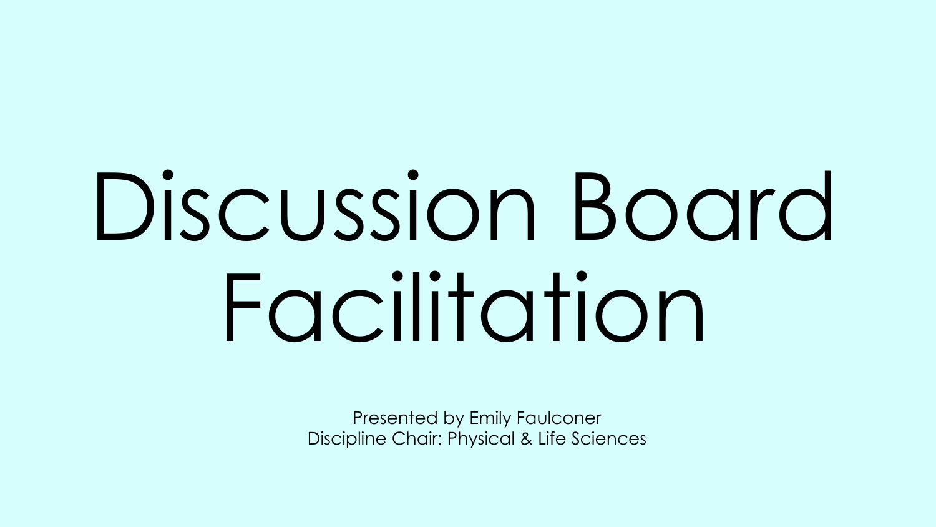# Discussion Board Facilitation

Presented by Emily Faulconer Discipline Chair: Physical & Life Sciences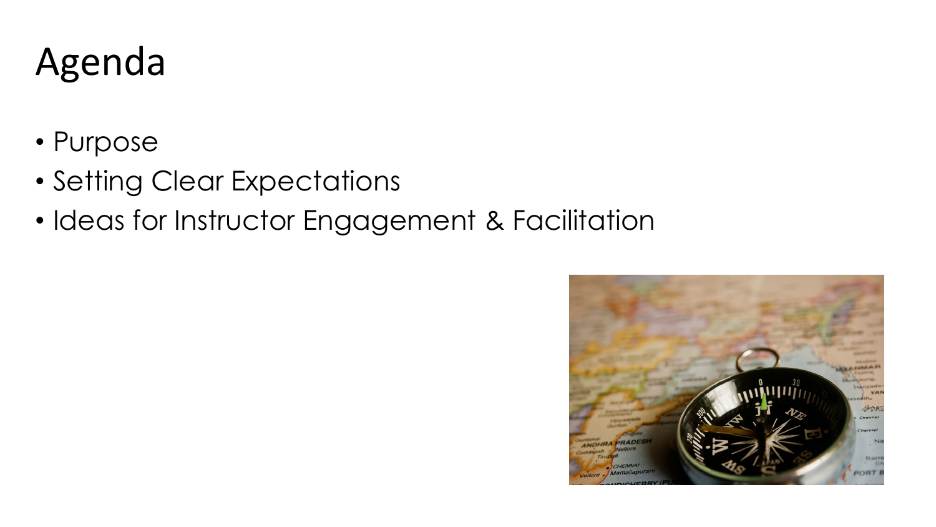### Agenda

- Purpose
- Setting Clear Expectations
- Ideas for Instructor Engagement & Facilitation

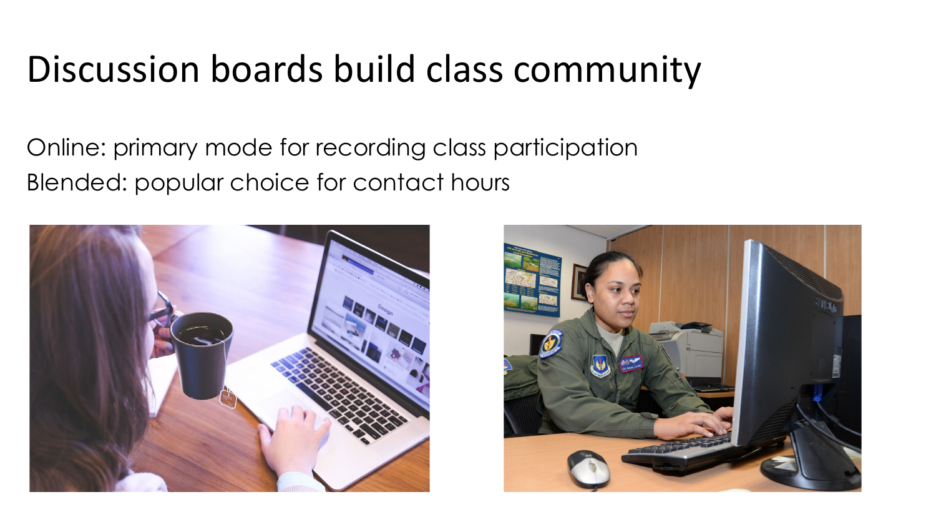#### Discussion boards build class community

Online: primary mode for recording class participation Blended: popular choice for contact hours



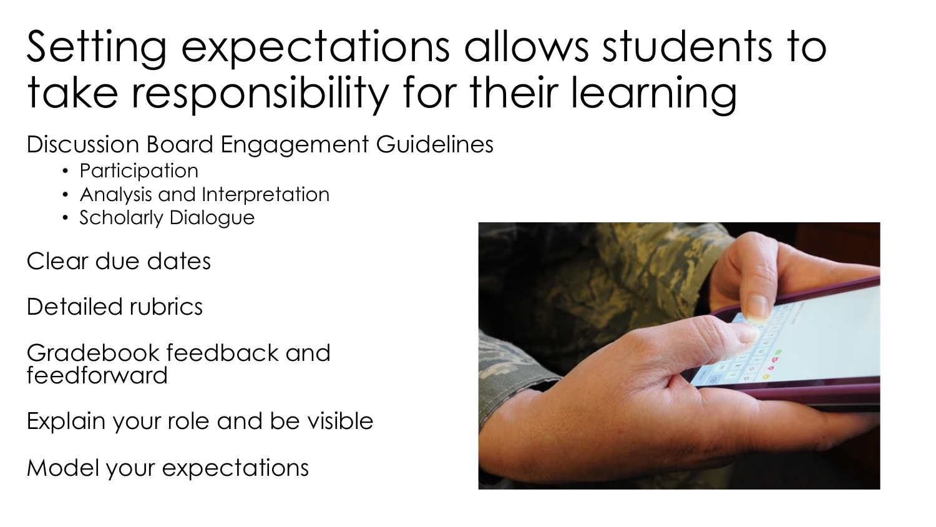# Setting expectations allows students to take responsibility for their learning

Discussion Board Engagement Guidelines

- Participation
- Analysis and Interpretation
- Scholarly Dialogue
- Clear due dates
- Detailed rubrics
- Gradebook feedback and feedforward
- Explain your role and be visible
- Model your expectations

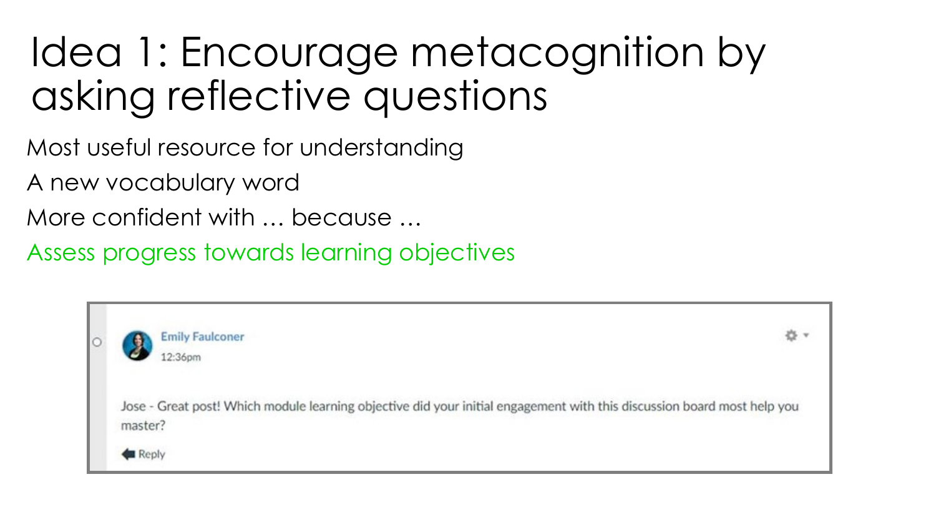## Idea 1: Encourage metacognition by asking reflective questions

Most useful resource for understanding

A new vocabulary word

More confident with … because …

Assess progress towards learning objectives

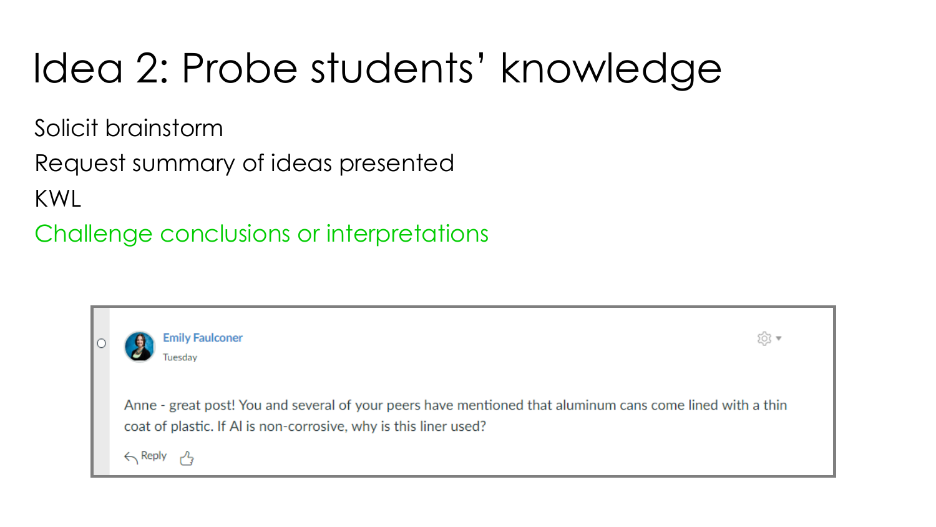# Idea 2: Probe students' knowledge

Solicit brainstorm

Request summary of ideas presented KWL

Challenge conclusions or interpretations

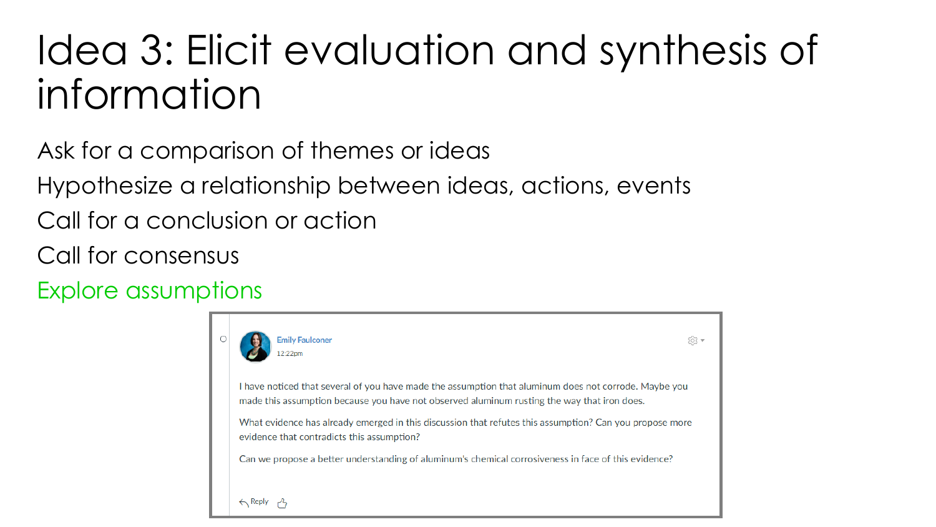## Idea 3: Elicit evaluation and synthesis of information

Ask for a comparison of themes or ideas

Hypothesize a relationship between ideas, actions, events

Call for a conclusion or action

Call for consensus

Explore assumptions

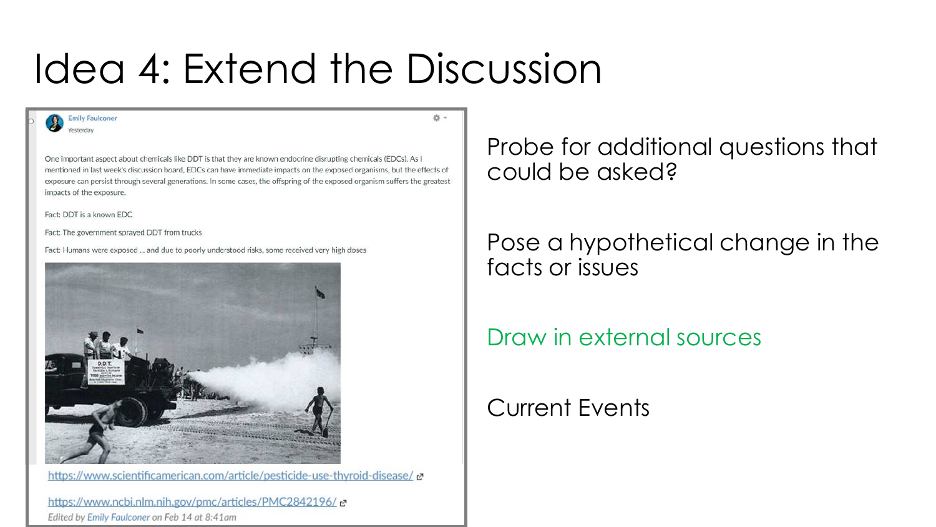## Idea 4: Extend the Discussion

☆v

**Emily Faulconer** Vesterday

One important aspect about chemicals like DDT is that they are known endocrine disrupting chemicals (EDCs). As I mentioned in last week's discussion board, EDCs can have immediate impacts on the exposed organisms, but the effects of exposure can persist through several generations. In some cases, the offspring of the exposed organism suffers the greatest impacts of the exposure.

Fact: DDT is a known EDC

Fact: The government sprayed DDT from trucks

Fact: Humans were exposed ... and due to poorly understood risks, some received very high doses



https://www.scientificamerican.com/article/pesticide-use-thyroid-disease/

https://www.ncbi.nlm.nih.gov/pmc/articles/PMC2842196/ ~ Edited by Emily Faulconer on Feb 14 at 8:41am

Probe for additional questions that could be asked?

Pose a hypothetical change in the facts or issues

Draw in external sources

Current Events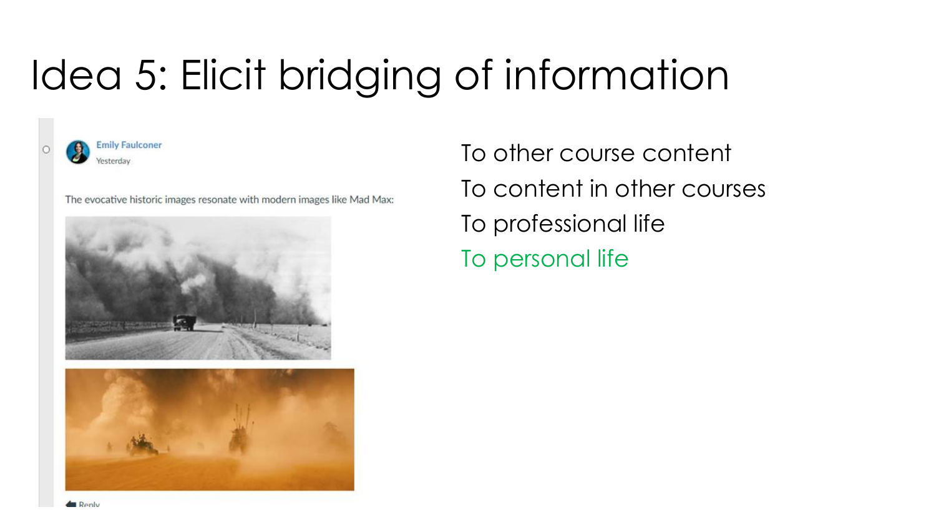# Idea 5: Elicit bridging of information



**Emily Faulconer** Yesterday

The evocative historic images resonate with modern images like Mad Max:





To other course content To content in other courses To professional life To personal life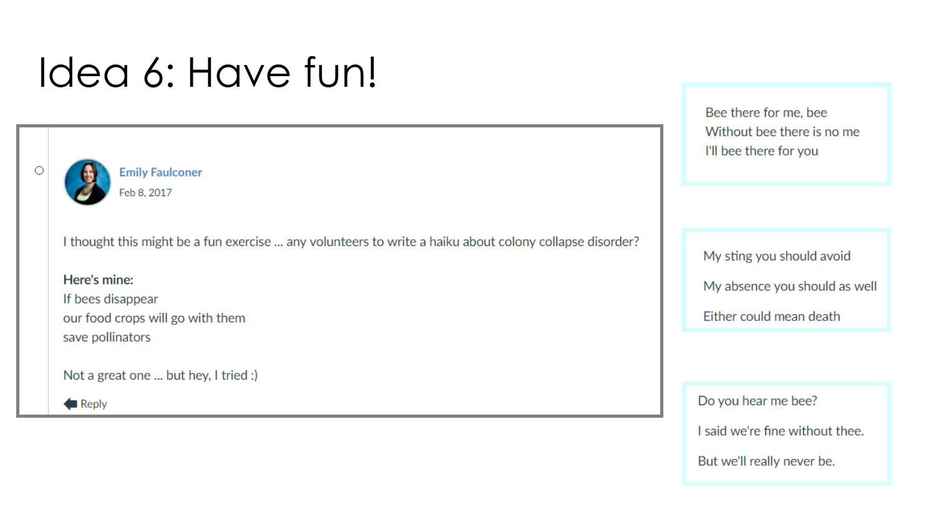## Idea 6: Have fun!



**Emily Faulconer** Feb 8, 2017

I thought this might be a fun exercise ... any volunteers to write a haiku about colony collapse disorder?

#### Here's mine:

If bees disappear our food crops will go with them save pollinators

Not a great one ... but hey, I tried :)

Reply

Bee there for me, bee Without bee there is no me I'll bee there for you

My sting you should avoid My absence you should as well Either could mean death

Do you hear me bee? I said we're fine without thee.

But we'll really never be.